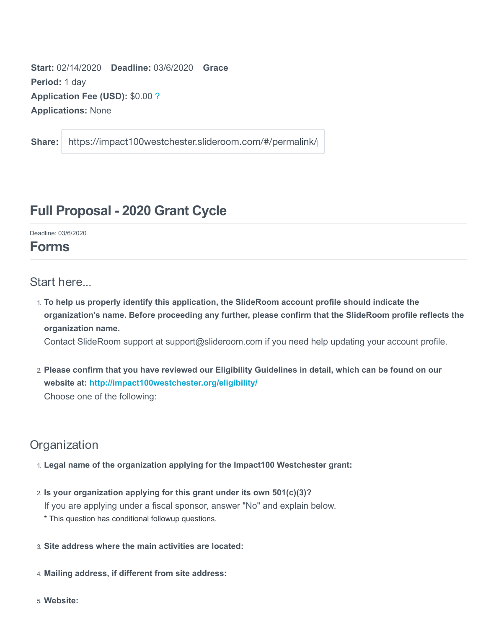**Start:** 02/14/2020 **Deadline:** 03/6/2020 **Grace Period:** 1 day **Application Fee (USD):** \$0.00 ? **Applications:** None

**Share:** https://impact100westchester.slideroom.com/#/permalink/

# **Full Proposal - 2020 Grant Cycle**

Deadline: 03/6/2020

# **Forms**

### Start here...

1. **To help us properly identify this application, the SlideRoom account profile should indicate the organization's name. Before proceeding any further, please confirm that the SlideRoom profile reflects the organization name.**

Contact SlideRoom support at support@slideroom.com if you need help updating your account profile.

2. **Please confirm that you have reviewed our Eligibility Guidelines in detail, which can be found on our website at: http://impact100westchester.org/eligibility/** Choose one of the following:

# **Organization**

- 1. **Legal name of the organization applying for the Impact100 Westchester grant:**
- 2. **Is your organization applying for this grant under its own 501(c)(3)?** If you are applying under a fiscal sponsor, answer "No" and explain below. \* This question has conditional followup questions.
- 3. **Site address where the main activities are located:**
- 4. **Mailing address, if different from site address:**
- 5. **Website:**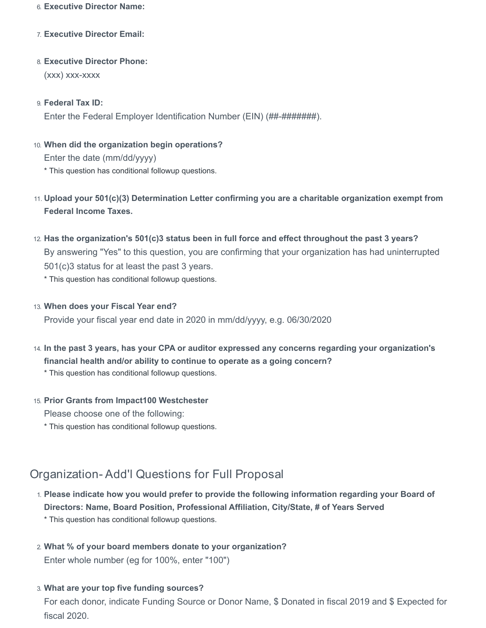#### 6. **Executive Director Name:**

- 7. **Executive Director Email:**
- 8. **Executive Director Phone:** (xxx) xxx-xxxx
- 9. **Federal Tax ID:**

Enter the Federal Employer Identification Number (EIN) (##-########).

- 10. **When did the organization begin operations?** Enter the date (mm/dd/yyyy) \* This question has conditional followup questions.
- 11. **Upload your 501(c)(3) Determination Letter confirming you are a charitable organization exempt from Federal Income Taxes.**
- 12. **Has the organization's 501(c)3 status been in full force and effect throughout the past 3 years?** By answering "Yes" to this question, you are confirming that your organization has had uninterrupted 501(c)3 status for at least the past 3 years.
	- \* This question has conditional followup questions.
- 13. **When does your Fiscal Year end?**

Provide your fiscal year end date in 2020 in mm/dd/yyyy, e.g. 06/30/2020

14. **In the past 3 years, has your CPA or auditor expressed any concerns regarding your organization's financial health and/or ability to continue to operate as a going concern?**

\* This question has conditional followup questions.

15. **Prior Grants from Impact100 Westchester**

Please choose one of the following:

\* This question has conditional followup questions.

## Organization- Add'l Questions for Full Proposal

1. **Please indicate how you would prefer to provide the following information regarding your Board of Directors: Name, Board Position, Professional Affiliation, City/State, # of Years Served**

\* This question has conditional followup questions.

- 2. **What % of your board members donate to your organization?** Enter whole number (eg for 100%, enter "100")
- 3. **What are your top five funding sources?**

For each donor, indicate Funding Source or Donor Name, \$ Donated in fiscal 2019 and \$ Expected for fiscal 2020.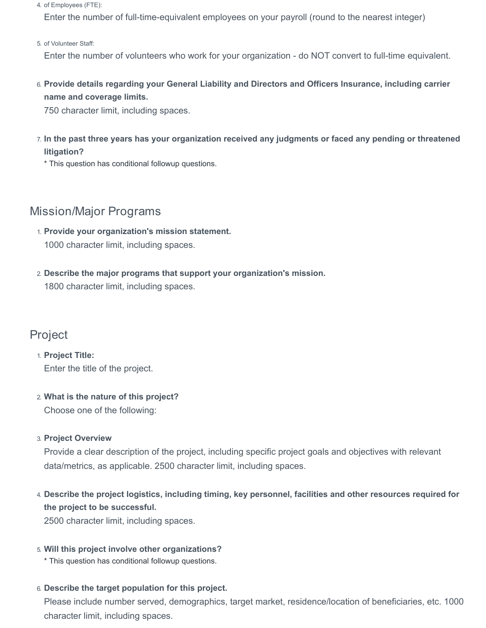4. of Employees (FTE):

Enter the number of full-time-equivalent employees on your payroll (round to the nearest integer)

5. of Volunteer Staff:

Enter the number of volunteers who work for your organization - do NOT convert to full-time equivalent.

6. **Provide details regarding your General Liability and Directors and Officers Insurance, including carrier name and coverage limits.**

750 character limit, including spaces.

- 7. **In the past three years has your organization received any judgments or faced any pending or threatened litigation?**
	- \* This question has conditional followup questions.

### Mission/Major Programs

- 1. **Provide your organization's mission statement.** 1000 character limit, including spaces.
- 2. **Describe the major programs that support your organization's mission.** 1800 character limit, including spaces.

### Project

1. **Project Title:** Enter the title of the project.

2. **What is the nature of this project?** Choose one of the following:

#### 3. **Project Overview**

Provide a clear description of the project, including specific project goals and objectives with relevant data/metrics, as applicable. 2500 character limit, including spaces.

4. **Describe the project logistics, including timing, key personnel, facilities and other resources required for the project to be successful.**

2500 character limit, including spaces.

5. **Will this project involve other organizations?**

\* This question has conditional followup questions.

#### 6. **Describe the target population for this project.**

Please include number served, demographics, target market, residence/location of beneficiaries, etc. 1000 character limit, including spaces.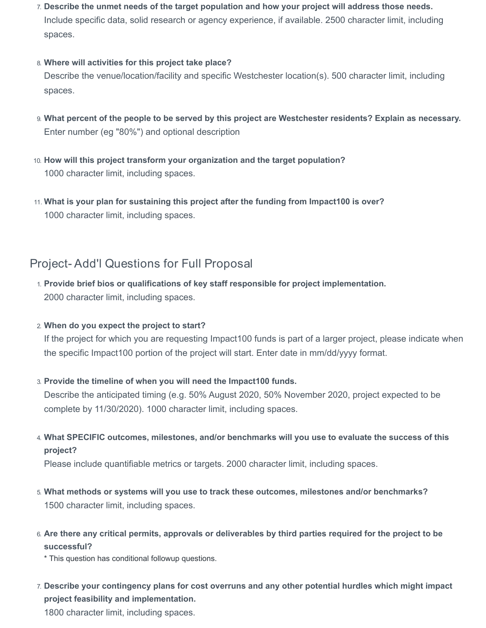7. **Describe the unmet needs of the target population and how your project will address those needs.** Include specific data, solid research or agency experience, if available. 2500 character limit, including spaces.

#### 8. **Where will activities for this project take place?**

Describe the venue/location/facility and specific Westchester location(s). 500 character limit, including spaces.

- 9. **What percent of the people to be served by this project are Westchester residents? Explain as necessary.** Enter number (eg "80%") and optional description
- 10. **How will this project transform your organization and the target population?** 1000 character limit, including spaces.
- 11. **What is your plan for sustaining this project after the funding from Impact100 is over?** 1000 character limit, including spaces.

## Project- Add'l Questions for Full Proposal

- 1. **Provide brief bios or qualifications of key staff responsible for project implementation.** 2000 character limit, including spaces.
- 2. **When do you expect the project to start?**

If the project for which you are requesting Impact100 funds is part of a larger project, please indicate when the specific Impact100 portion of the project will start. Enter date in mm/dd/yyyy format.

3. **Provide the timeline of when you will need the Impact100 funds.**

Describe the anticipated timing (e.g. 50% August 2020, 50% November 2020, project expected to be complete by 11/30/2020). 1000 character limit, including spaces.

4. **What SPECIFIC outcomes, milestones, and/or benchmarks will you use to evaluate the success of this project?**

Please include quantifiable metrics or targets. 2000 character limit, including spaces.

- 5. **What methods or systems will you use to track these outcomes, milestones and/or benchmarks?** 1500 character limit, including spaces.
- 6. **Are there any critical permits, approvals or deliverables by third parties required for the project to be successful?**

\* This question has conditional followup questions.

7. **Describe your contingency plans for cost overruns and any other potential hurdles which might impact project feasibility and implementation.**

1800 character limit, including spaces.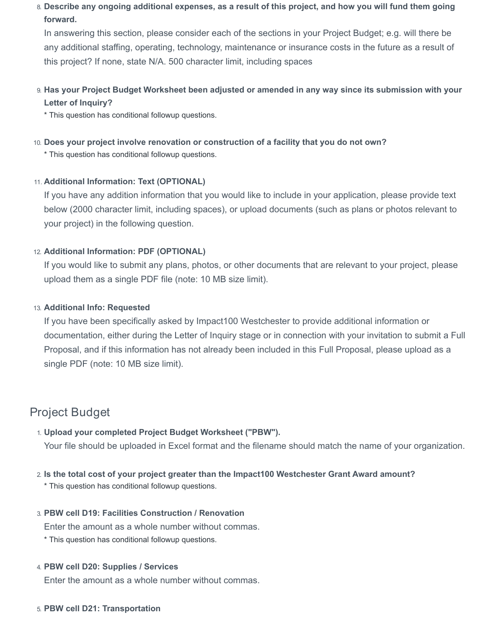8. **Describe any ongoing additional expenses, as a result of this project, and how you will fund them going forward.**

In answering this section, please consider each of the sections in your Project Budget; e.g. will there be any additional staffing, operating, technology, maintenance or insurance costs in the future as a result of this project? If none, state N/A. 500 character limit, including spaces

9. **Has your Project Budget Worksheet been adjusted or amended in any way since its submission with your Letter of Inquiry?**

\* This question has conditional followup questions.

10. **Does your project involve renovation or construction of a facility that you do not own?**

\* This question has conditional followup questions.

### 11. **Additional Information: Text (OPTIONAL)**

If you have any addition information that you would like to include in your application, please provide text below (2000 character limit, including spaces), or upload documents (such as plans or photos relevant to your project) in the following question.

### 12. **Additional Information: PDF (OPTIONAL)**

If you would like to submit any plans, photos, or other documents that are relevant to your project, please upload them as a single PDF file (note: 10 MB size limit).

#### 13. **Additional Info: Requested**

If you have been specifically asked by Impact100 Westchester to provide additional information or documentation, either during the Letter of Inquiry stage or in connection with your invitation to submit a Full Proposal, and if this information has not already been included in this Full Proposal, please upload as a single PDF (note: 10 MB size limit).

## Project Budget

- 1. **Upload your completed Project Budget Worksheet ("PBW").** Your file should be uploaded in Excel format and the filename should match the name of your organization.
- 2. **Is the total cost of your project greater than the Impact100 Westchester Grant Award amount?**
	- \* This question has conditional followup questions.
- 3. **PBW cell D19: Facilities Construction / Renovation**

Enter the amount as a whole number without commas.

\* This question has conditional followup questions.

#### 4. **PBW cell D20: Supplies / Services**

Enter the amount as a whole number without commas.

5. **PBW cell D21: Transportation**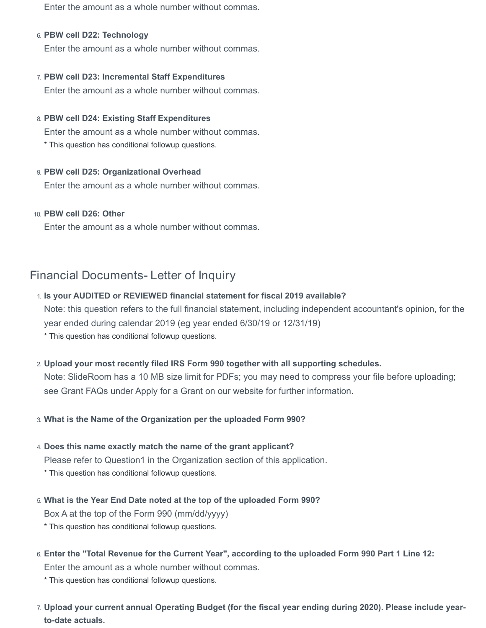Enter the amount as a whole number without commas.

#### 6. **PBW cell D22: Technology**

Enter the amount as a whole number without commas.

#### 7. **PBW cell D23: Incremental Staff Expenditures**

Enter the amount as a whole number without commas.

#### 8. **PBW cell D24: Existing Staff Expenditures**

Enter the amount as a whole number without commas. \* This question has conditional followup questions.

#### 9. **PBW cell D25: Organizational Overhead**

Enter the amount as a whole number without commas.

#### 10. **PBW cell D26: Other**

Enter the amount as a whole number without commas.

# Financial Documents- Letter of Inquiry

#### 1. **Is your AUDITED or REVIEWED financial statement for fiscal 2019 available?**

Note: this question refers to the full financial statement, including independent accountant's opinion, for the year ended during calendar 2019 (eg year ended 6/30/19 or 12/31/19)

\* This question has conditional followup questions.

#### 2. **Upload your most recently filed IRS Form 990 together with all supporting schedules.**

Note: SlideRoom has a 10 MB size limit for PDFs; you may need to compress your file before uploading; see Grant FAQs under Apply for a Grant on our website for further information.

#### 3. **What is the Name of the Organization per the uploaded Form 990?**

#### 4. **Does this name exactly match the name of the grant applicant?**

Please refer to Question1 in the Organization section of this application.

\* This question has conditional followup questions.

# 5. **What is the Year End Date noted at the top of the uploaded Form 990?**

Box A at the top of the Form 990 (mm/dd/yyyy)

- \* This question has conditional followup questions.
- 6. **Enter the "Total Revenue for the Current Year", according to the uploaded Form 990 Part 1 Line 12:**

Enter the amount as a whole number without commas.

\* This question has conditional followup questions.

7. **Upload your current annual Operating Budget (for the fiscal year ending during 2020). Please include yearto-date actuals.**